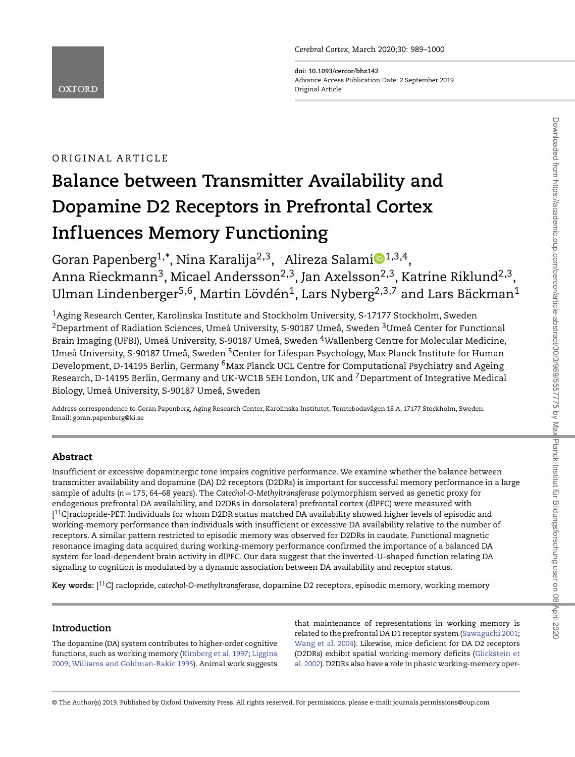**doi: 10.1093/cercor/bhz142** Advance Access Publication Date: 2 September 2019 Original Article

# ORIGINAL ARTICLE

# **Balance between Transmitter Availability and Dopamine D2 Receptors in Prefrontal Cortex Influences Memory Functioning**

Goran Papenberg<sup>[1](http://orcid.org/0000-0002-4675-8437),\*</sup>, Nina Karalija<sup>2,3</sup>, Alireza Salami $\mathbf{D}^{1,3,4}$ , Anna Rieckmann<sup>3</sup>, Micael Andersson<sup>2,3</sup>, Jan Axelsson<sup>2,3</sup>, Katrine Riklund<sup>2,3</sup>, Ulman Lindenberger<sup>5,6</sup>, Martin Lövdén<sup>1</sup>, Lars Nyberg<sup>2,3,7</sup> and Lars Bäckman<sup>1</sup>

1Aging Research Center, Karolinska Institute and Stockholm University, S-17177 Stockholm, Sweden  $^{2}$ Department of Radiation Sciences, Umeå University, S-90187 Umeå, Sweden  $^{3}$ Umeå Center for Functional Brain Imaging (UFBI), Umeå University, S-90187 Umeå, Sweden 4Wallenberg Centre for Molecular Medicine, Umeå University, S-90187 Umeå, Sweden <sup>5</sup>Center for Lifespan Psychology, Max Planck Institute for Human Development, D-14195 Berlin, Germany <sup>6</sup>Max Planck UCL Centre for Computational Psychiatry and Ageing Research, D-14195 Berlin, Germany and UK-WC1B 5EH London, UK and 7Department of Integrative Medical Biology, Umeå University, S-90187 Umeå, Sweden

Address correspondence to Goran Papenberg, Aging Research Center, Karolinska Institutet, Tomtebodavägen 18 A, 17177 Stockholm, Sweden. Email: goran.papenberg@ki.se

# **Abstract**

Insufficient or excessive dopaminergic tone impairs cognitive performance. We examine whether the balance between transmitter availability and dopamine (DA) D2 receptors (D2DRs) is important for successful memory performance in a large sample of adults (*n* = 175, 64–68 years). The *Catechol-O-Methyltransferase* polymorphism served as genetic proxy for endogenous prefrontal DA availability, and D2DRs in dorsolateral prefrontal cortex (dlPFC) were measured with [ $^{11}$ C]raclopride-PET. Individuals for whom D2DR status matched DA availability showed higher levels of episodic and working-memory performance than individuals with insufficient or excessive DA availability relative to the number of receptors. A similar pattern restricted to episodic memory was observed for D2DRs in caudate. Functional magnetic resonance imaging data acquired during working-memory performance confirmed the importance of a balanced DA system for load-dependent brain activity in dlPFC. Our data suggest that the inverted-U–shaped function relating DA signaling to cognition is modulated by a dynamic association between DA availability and receptor status.

**Key words:** [ 11C] raclopride, *catechol-O-methyltransferase*, dopamine D2 receptors, episodic memory, working memory

# **Introduction**

The dopamine (DA) system contributes to higher-order cognitive functions, such as working memory [\(Kimberg et al. 1997;](#page-10-0) Liggins 2009; [Williams and Goldman-Rakic 1995\). Animal work suggests](#page-10-1) that maintenance of representations in working memory is related to the prefrontal DA D1 receptor system [\(Sawaguchi 2001;](#page-10-2) [Wang et al. 2004\)](#page-11-1). Likewise, mice deficient for DA D2 receptors [\(D2DRs\) exhibit spatial working-memory deficits \(Glickstein et](#page-9-0) al. 2002). D2DRs also have a role in phasic working-memory oper-

© The Author(s) 2019. Published by Oxford University Press. All rights reserved. For permissions, please e-mail: journals.permissions@oup.com

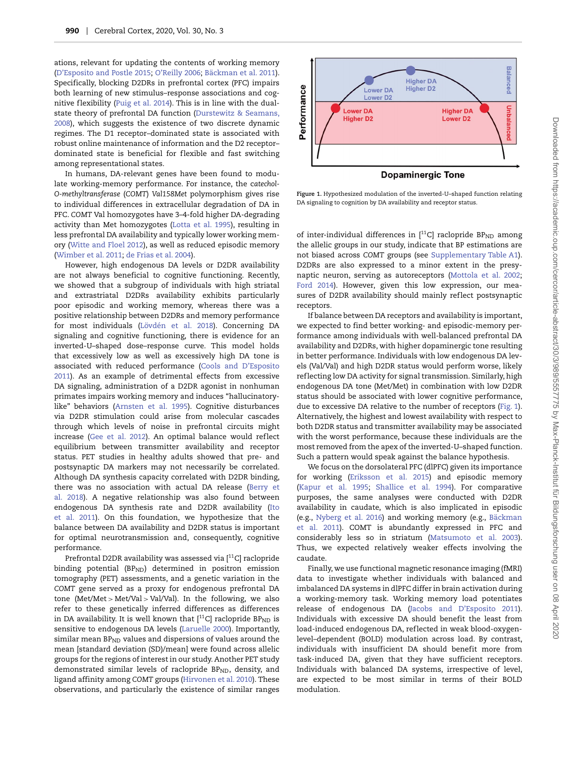ations, relevant for updating the contents of working memory [\(D'Esposito and Postle 2015;](#page-9-1) [O'Reilly 2006;](#page-10-3) [Bäckman et al. 2011\)](#page-9-2). Specifically, blocking D2DRs in prefrontal cortex (PFC) impairs both learning of new stimulus–response associations and cog-nitive flexibility [\(Puig et al. 2014\)](#page-10-4). This is in line with the dual[state theory of prefrontal DA function \(Durstewitz & Seamans,](#page-9-3) 2008), which suggests the existence of two discrete dynamic regimes. The D1 receptor–dominated state is associated with robust online maintenance of information and the D2 receptor– dominated state is beneficial for flexible and fast switching among representational states.

In humans, DA-relevant genes have been found to modulate working-memory performance. For instance, the c*atechol-O-methyltransferase* (*COMT*) *Val158Met* polymorphism gives rise to individual differences in extracellular degradation of DA in PFC. *COMT* Val homozygotes have 3–4-fold higher DA-degrading activity than Met homozygotes [\(Lotta et al. 1995\)](#page-10-5), resulting in less prefrontal DA availability and typically lower working memory [\(Witte and Floel 2012\)](#page-11-2), as well as reduced episodic memory [\(Wimber et al. 2011;](#page-11-3) [de Frias et al. 2004\)](#page-9-4).

However, high endogenous DA levels or D2DR availability are not always beneficial to cognitive functioning. Recently, we showed that a subgroup of individuals with high striatal and extrastriatal D2DRs availability exhibits particularly poor episodic and working memory, whereas there was a positive relationship between D2DRs and memory performance for most individuals [\(Lövdén et al. 2018\)](#page-10-6). Concerning DA signaling and cognitive functioning, there is evidence for an inverted-U–shaped dose–response curve. This model holds that excessively low as well as excessively high DA tone is associated with reduced performance (Cools and D'Esposito [2011\). As an example of detrimental effects from excessive](#page-9-5) DA signaling, administration of a D2DR agonist in nonhuman primates impairs working memory and induces "hallucinatorylike" behaviors [\(Arnsten et al. 1995\)](#page-8-0). Cognitive disturbances via D2DR stimulation could arise from molecular cascades through which levels of noise in prefrontal circuits might increase [\(Gee et al. 2012\)](#page-9-6). An optimal balance would reflect equilibrium between transmitter availability and receptor status. PET studies in healthy adults showed that pre- and postsynaptic DA markers may not necessarily be correlated. Although DA synthesis capacity correlated with D2DR binding, [there was no association with actual DA release \(Berry et](#page-9-7) al. 2018). A negative relationship was also found between endogenous DA synthesis rate and D2DR availability (Ito [et al. 2011\). On this foundation, we hypothesize that the](#page-9-8) balance between DA availability and D2DR status is important for optimal neurotransmission and, consequently, cognitive performance.

Prefrontal D2DR availability was assessed via [<sup>11</sup>C] raclopride binding potential (BP<sub>ND</sub>) determined in positron emission tomography (PET) assessments, and a genetic variation in the *COMT* gene served as a proxy for endogenous prefrontal DA tone (Met/Met *>* Met/Val *>* Val/Val). In the following, we also refer to these genetically inferred differences as differences in DA availability. It is well known that  $[$ <sup>11</sup>C] raclopride BP<sub>ND</sub> is sensitive to endogenous DA levels [\(Laruelle 2000\)](#page-10-7). Importantly, similar mean  $BP_{ND}$  values and dispersions of values around the mean [standard deviation (SD)/mean] were found across allelic groups for the regions of interest in our study. Another PET study demonstrated similar levels of raclopride BP<sub>ND</sub>, density, and ligand affinity among *COMT* groups [\(Hirvonen et al. 2010\)](#page-9-9). These observations, and particularly the existence of similar ranges



<span id="page-1-0"></span>**Figure 1.** Hypothesized modulation of the inverted-U–shaped function relating DA signaling to cognition by DA availability and receptor status.

of inter-individual differences in  $[$ <sup>11</sup>C] raclopride BP<sub>ND</sub> among the allelic groups in our study, indicate that BP estimations are not biased across *COMT* groups (see [Supplementary Table A1\)](#page-11-4). D2DRs are also expressed to a minor extent in the presynaptic neuron, serving as autoreceptors [\(Mottola et al. 2002;](#page-10-8) [Ford 2014\)](#page-9-10). However, given this low expression, our measures of D2DR availability should mainly reflect postsynaptic receptors.

If balance between DA receptors and availability is important, we expected to find better working- and episodic-memory performance among individuals with well-balanced prefrontal DA availability and D2DRs, with higher dopaminergic tone resulting in better performance. Individuals with low endogenous DA levels (Val/Val) and high D2DR status would perform worse, likely ref lecting low DA activity for signal transmission. Similarly, high endogenous DA tone (Met/Met) in combination with low D2DR status should be associated with lower cognitive performance, due to excessive DA relative to the number of receptors [\(Fig. 1\)](#page-1-0). Alternatively, the highest and lowest availability with respect to both D2DR status and transmitter availability may be associated with the worst performance, because these individuals are the most removed from the apex of the inverted-U–shaped function. Such a pattern would speak against the balance hypothesis.

We focus on the dorsolateral PFC (dlPFC) given its importance for working [\(Eriksson et al. 2015\)](#page-9-11) and episodic memory [\(Kapur et al. 1995;](#page-9-12) [Shallice et al. 1994\)](#page-10-9). For comparative purposes, the same analyses were conducted with D2DR availability in caudate, which is also implicated in episodic (e.g., [Nyberg et al. 2016\)](#page-10-10) and working memory (e.g., Bäckman [et al. 2011\). COMT is abundantly expressed in PFC and](#page-9-2) considerably less so in striatum [\(Matsumoto et al. 2003\)](#page-10-11). Thus, we expected relatively weaker effects involving the caudate.

Finally, we use functional magnetic resonance imaging (fMRI) data to investigate whether individuals with balanced and imbalanced DA systems in dlPFC differ in brain activation during a working-memory task. Working memory load potentiates release of endogenous DA [\(Jacobs and D'Esposito 2011\)](#page-9-13). Individuals with excessive DA should benefit the least from load-induced endogenous DA, ref lected in weak blood-oxygenlevel–dependent (BOLD) modulation across load. By contrast, individuals with insufficient DA should benefit more from task-induced DA, given that they have sufficient receptors. Individuals with balanced DA systems, irrespective of level, are expected to be most similar in terms of their BOLD modulation.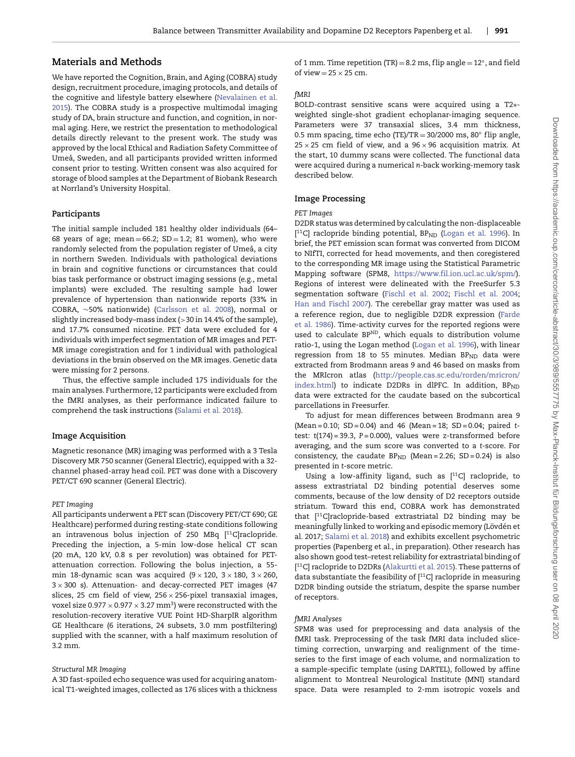# **Materials and Methods**

We have reported the Cognition, Brain, and Aging (COBRA) study design, recruitment procedure, imaging protocols, and details of [the cognitive and lifestyle battery elsewhere \(Nevalainen et al.](#page-10-12) 2015). The COBRA study is a prospective multimodal imaging study of DA, brain structure and function, and cognition, in normal aging. Here, we restrict the presentation to methodological details directly relevant to the present work. The study was approved by the local Ethical and Radiation Safety Committee of Umeå, Sweden, and all participants provided written informed consent prior to testing. Written consent was also acquired for storage of blood samples at the Department of Biobank Research at Norrland's University Hospital.

# **Participants**

The initial sample included 181 healthy older individuals (64– 68 years of age; mean =  $66.2$ ; SD = 1.2; 81 women), who were randomly selected from the population register of Umeå, a city in northern Sweden. Individuals with pathological deviations in brain and cognitive functions or circumstances that could bias task performance or obstruct imaging sessions (e.g., metal implants) were excluded. The resulting sample had lower prevalence of hypertension than nationwide reports (33% in COBRA, ∼50% nationwide) [\(Carlsson et al. 2008\)](#page-9-14), normal or slightly increased body–mass index (*>*30 in 14.4% of the sample), and 17.7% consumed nicotine. PET data were excluded for 4 individuals with imperfect segmentation of MR images and PET-MR image coregistration and for 1 individual with pathological deviations in the brain observed on the MR images. Genetic data were missing for 2 persons.

Thus, the effective sample included 175 individuals for the main analyses. Furthermore, 12 participants were excluded from the fMRI analyses, as their performance indicated failure to comprehend the task instructions [\(Salami et al. 2018\)](#page-10-13).

## **Image Acquisition**

Magnetic resonance (MR) imaging was performed with a 3 Tesla Discovery MR 750 scanner (General Electric), equipped with a 32 channel phased-array head coil. PET was done with a Discovery PET/CT 690 scanner (General Electric).

## *PET Imaging*

All participants underwent a PET scan (Discovery PET/CT 690; GE Healthcare) performed during resting-state conditions following an intravenous bolus injection of 250 MBq [<sup>11</sup>C]raclopride. Preceding the injection, a 5-min low-dose helical CT scan (20 mA, 120 kV, 0.8 s per revolution) was obtained for PETattenuation correction. Following the bolus injection, a 55 min 18-dynamic scan was acquired  $(9 \times 120, 3 \times 180, 3 \times 260,$  $3 \times 300$  s). Attenuation- and decay-corrected PET images (47 slices, 25 cm field of view,  $256 \times 256$ -pixel transaxial images, voxel size 0.977  $\times$  0.977  $\times$  3.27 mm<sup>3</sup>) were reconstructed with the resolution-recovery iterative VUE Point HD-SharpIR algorithm GE Healthcare (6 iterations, 24 subsets, 3.0 mm postfiltering) supplied with the scanner, with a half maximum resolution of 3.2 mm.

# *Structural MR Imaging*

A 3D fast-spoiled echo sequence was used for acquiring anatomical T1-weighted images, collected as 176 slices with a thickness of 1 mm. Time repetition (TR) = 8.2 ms, flip angle =  $12^\circ$ , and field of view  $= 25 \times 25$  cm.

# *fMRI*

BOLD-contrast sensitive scans were acquired using a T2∗ weighted single-shot gradient echoplanar-imaging sequence. Parameters were 37 transaxial slices, 3.4 mm thickness, 0.5 mm spacing, time echo (TE)/TR =  $30/2000$  ms,  $80°$  flip angle,  $25 \times 25$  cm field of view, and a  $96 \times 96$  acquisition matrix. At the start, 10 dummy scans were collected. The functional data were acquired during a numerical *n*-back working-memory task described below.

## **Image Processing**

## *PET Images*

D2DR status was determined by calculating the non-displaceable [<sup>11</sup>C] raclopride binding potential, BP<sub>ND</sub> [\(Logan et al. 1996\)](#page-10-14). In brief, the PET emission scan format was converted from DICOM to NIfTI, corrected for head movements, and then coregistered to the corresponding MR image using the Statistical Parametric Mapping software (SPM8, [https://www.fil.ion.ucl.ac.uk/spm/\)](https://www.fil.ion.ucl.ac.uk/spm/). Regions of interest were delineated with the FreeSurfer 5.3 segmentation software [\(Fischl et al. 2002;](#page-9-15) [Fischl et al. 2004;](#page-9-16) [Han and Fischl 2007\)](#page-9-17). The cerebellar gray matter was used as [a reference region, due to negligible D2DR expression \(Farde](#page-9-18) et al. 1986). Time-activity curves for the reported regions were used to calculate BPND, which equals to distribution volume ratio-1, using the Logan method [\(Logan et al. 1996\)](#page-10-14), with linear regression from 18 to 55 minutes. Median  $BP_{ND}$  data were extracted from Brodmann areas 9 and 46 based on masks from the MRIcron atlas (http://people.cas.sc.edu/rorden/mricron/ index.html) to indicate D2DRs in dlPFC. In addition,  $BP<sub>ND</sub>$ data were extracted for the caudate based on the subcortical parcellations in Freesurfer.

To adjust for mean differences between Brodmann area 9 (Mean = 0.10; SD = 0.04) and 46 (Mean = 18; SD = 0.04; paired *t*test: *t*(174) = 39.3, *P* = 0.000), values were *z*-transformed before averaging, and the sum score was converted to a *t*-score. For consistency, the caudate  $BP_{ND}$  (Mean = 2.26; SD = 0.24) is also presented in *t*-score metric.

Using a low-affinity ligand, such as  $[$ <sup>11</sup>C] raclopride, to assess extrastriatal D2 binding potential deserves some comments, because of the low density of D2 receptors outside striatum. Toward this end, COBRA work has demonstrated that [11C]raclopride-based extrastriatal D2 binding may be meaningfully linked to working and episodic memory (Lövdén et al. 2017; [Salami et al. 2018\)](#page-10-13) and exhibits excellent psychometric properties (Papenberg et al., in preparation). Other research has also shown good test–retest reliability for extrastriatal binding of [ 11C] raclopride to D2DRs [\(Alakurtti et al. 2015\)](#page-8-1). These patterns of data substantiate the feasibility of  $[$ <sup>11</sup>C] raclopride in measuring D2DR binding outside the striatum, despite the sparse number of receptors.

# *fMRI Analyses*

SPM8 was used for preprocessing and data analysis of the fMRI task. Preprocessing of the task fMRI data included slicetiming correction, unwarping and realignment of the timeseries to the first image of each volume, and normalization to a sample-specific template (using DARTEL), followed by affine alignment to Montreal Neurological Institute (MNI) standard space. Data were resampled to 2-mm isotropic voxels and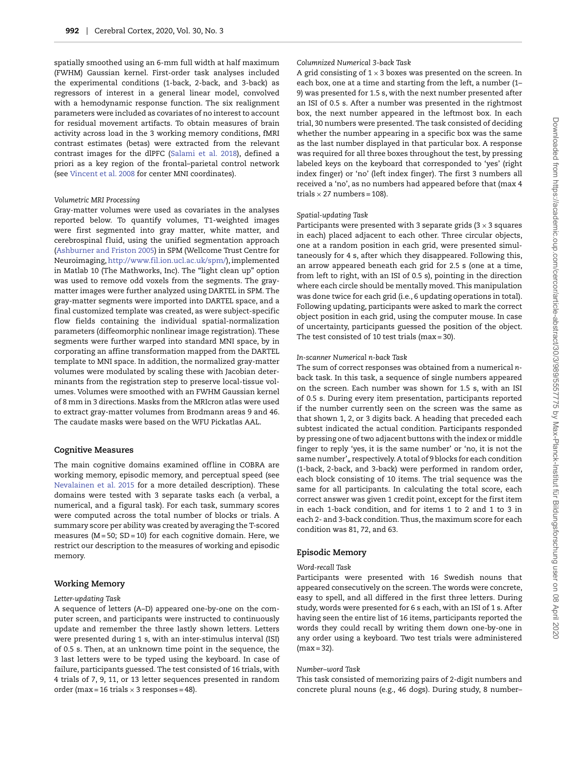spatially smoothed using an 6-mm full width at half maximum (FWHM) Gaussian kernel. First-order task analyses included the experimental conditions (1-back, 2-back, and 3-back) as regressors of interest in a general linear model, convolved with a hemodynamic response function. The six realignment parameters were included as covariates of no interest to account for residual movement artifacts. To obtain measures of brain activity across load in the 3 working memory conditions, fMRI contrast estimates (betas) were extracted from the relevant contrast images for the dlPFC [\(Salami et al. 2018\)](#page-10-13), defined a priori as a key region of the frontal–parietal control network (see [Vincent et al. 2008](#page-10-15) for center MNI coordinates).

#### *Volumetric MRI Processing*

Gray-matter volumes were used as covariates in the analyses reported below. To quantify volumes, T1-weighted images were first segmented into gray matter, white matter, and cerebrospinal fluid, using the unified segmentation approach [\(Ashburner and Friston 2005\)](#page-8-2) in SPM (Wellcome Trust Centre for Neuroimaging,[http://www.fil.ion.ucl.ac.uk/spm/\)](http://www.fil.ion.ucl.ac.uk/spm/), implemented in Matlab 10 (The Mathworks, Inc). The "light clean up" option was used to remove odd voxels from the segments. The graymatter images were further analyzed using DARTEL in SPM. The gray-matter segments were imported into DARTEL space, and a final customized template was created, as were subject-specific flow fields containing the individual spatial-normalization parameters (diffeomorphic nonlinear image registration). These segments were further warped into standard MNI space, by in corporating an affine transformation mapped from the DARTEL template to MNI space. In addition, the normalized gray-matter volumes were modulated by scaling these with Jacobian determinants from the registration step to preserve local-tissue volumes. Volumes were smoothed with an FWHM Gaussian kernel of 8 mm in 3 directions. Masks from the MRIcron atlas were used to extract gray-matter volumes from Brodmann areas 9 and 46. The caudate masks were based on the WFU Pickatlas AAL.

## **Cognitive Measures**

The main cognitive domains examined offline in COBRA are working memory, episodic memory, and perceptual speed (see [Nevalainen et al. 2015](#page-10-12) for a more detailed description). These domains were tested with 3 separate tasks each (a verbal, a numerical, and a figural task). For each task, summary scores were computed across the total number of blocks or trials. A summary score per ability was created by averaging the T-scored measures (M = 50; SD = 10) for each cognitive domain. Here, we restrict our description to the measures of working and episodic memory.

## **Working Memory**

#### *Letter-updating Task*

A sequence of letters (A–D) appeared one-by-one on the computer screen, and participants were instructed to continuously update and remember the three lastly shown letters. Letters were presented during 1 s, with an inter-stimulus interval (ISI) of 0.5 s. Then, at an unknown time point in the sequence, the 3 last letters were to be typed using the keyboard. In case of failure, participants guessed. The test consisted of 16 trials, with 4 trials of 7, 9, 11, or 13 letter sequences presented in random order (max = 16 trials  $\times$  3 responses = 48).

# *Columnized Numerical 3-back Task*

A grid consisting of  $1 \times 3$  boxes was presented on the screen. In each box, one at a time and starting from the left, a number (1– 9) was presented for 1.5 s, with the next number presented after an ISI of 0.5 s. After a number was presented in the rightmost box, the next number appeared in the leftmost box. In each trial, 30 numbers were presented. The task consisted of deciding whether the number appearing in a specific box was the same as the last number displayed in that particular box. A response was required for all three boxes throughout the test, by pressing labeled keys on the keyboard that corresponded to 'yes' (right index finger) or 'no' (left index finger). The first 3 numbers all received a 'no', as no numbers had appeared before that (max 4 trials  $\times$  27 numbers = 108).

## *Spatial-updating Task*

Participants were presented with 3 separate grids  $(3 \times 3)$  squares in each) placed adjacent to each other. Three circular objects, one at a random position in each grid, were presented simultaneously for 4 s, after which they disappeared. Following this, an arrow appeared beneath each grid for 2.5 s (one at a time, from left to right, with an ISI of 0.5 s), pointing in the direction where each circle should be mentally moved. This manipulation was done twice for each grid (i.e., 6 updating operations in total). Following updating, participants were asked to mark the correct object position in each grid, using the computer mouse. In case of uncertainty, participants guessed the position of the object. The test consisted of 10 test trials (max = 30).

#### *In-scanner Numerical n-back Task*

The sum of correct responses was obtained from a numerical *n*back task. In this task, a sequence of single numbers appeared on the screen. Each number was shown for 1.5 s, with an ISI of 0.5 s. During every item presentation, participants reported if the number currently seen on the screen was the same as that shown 1, 2, or 3 digits back. A heading that preceded each subtest indicated the actual condition. Participants responded by pressing one of two adjacent buttons with the index or middle finger to reply 'yes, it is the same number' or 'no, it is not the same number',, respectively. A total of 9 blocks for each condition (1-back, 2-back, and 3-back) were performed in random order, each block consisting of 10 items. The trial sequence was the same for all participants. In calculating the total score, each correct answer was given 1 credit point, except for the first item in each 1-back condition, and for items 1 to 2 and 1 to 3 in each 2- and 3-back condition. Thus, the maximum score for each condition was 81, 72, and 63.

## **Episodic Memory**

## *Word-recall Task*

Participants were presented with 16 Swedish nouns that appeared consecutively on the screen. The words were concrete, easy to spell, and all differed in the first three letters. During study, words were presented for 6 s each, with an ISI of 1 s. After having seen the entire list of 16 items, participants reported the words they could recall by writing them down one-by-one in any order using a keyboard. Two test trials were administered  $(max = 32)$ .

## *Number–word Task*

This task consisted of memorizing pairs of 2-digit numbers and concrete plural nouns (e.g., 46 dogs). During study, 8 number–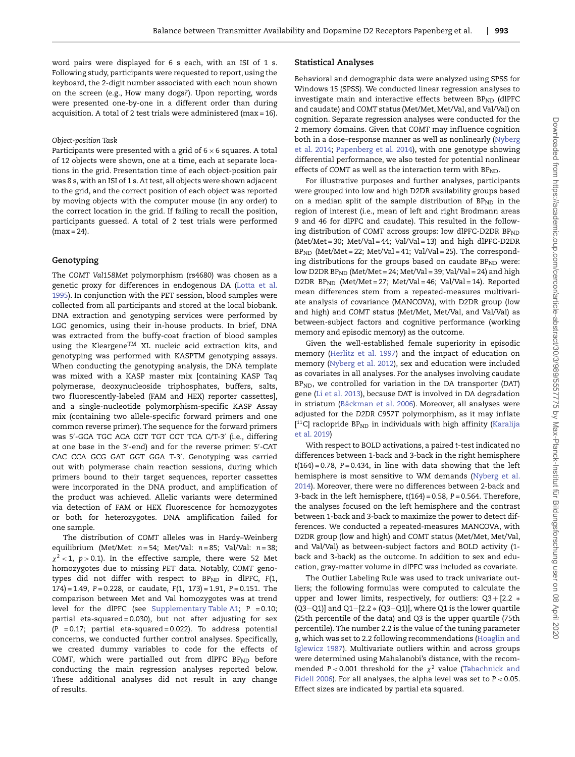word pairs were displayed for 6 s each, with an ISI of 1 s. Following study, participants were requested to report, using the keyboard, the 2-digit number associated with each noun shown on the screen (e.g., How many dogs?). Upon reporting, words were presented one-by-one in a different order than during acquisition. A total of 2 test trials were administered (max = 16).

## *Object-position Task*

Participants were presented with a grid of  $6 \times 6$  squares. A total of 12 objects were shown, one at a time, each at separate locations in the grid. Presentation time of each object-position pair was 8 s, with an ISI of 1 s. At test, all objects were shown adjacent to the grid, and the correct position of each object was reported by moving objects with the computer mouse (in any order) to the correct location in the grid. If failing to recall the position, participants guessed. A total of 2 test trials were performed  $(max = 24)$ .

# **Genotyping**

The *COMT Val158Met* polymorphism (rs4680) was chosen as a [genetic proxy for differences in endogenous DA \(Lotta et al.](#page-10-5) 1995). In conjunction with the PET session, blood samples were collected from all participants and stored at the local biobank. DNA extraction and genotyping services were performed by LGC genomics, using their in-house products. In brief, DNA was extracted from the buffy-coat fraction of blood samples using the Kleargene<sup>TM</sup> XL nucleic acid extraction kits, and genotyping was performed with KASPTM genotyping assays. When conducting the genotyping analysis, the DNA template was mixed with a KASP master mix [containing KASP Taq polymerase, deoxynucleoside triphosphates, buffers, salts, two fluorescently-labeled (FAM and HEX) reporter cassettes], and a single-nucleotide polymorphism-specific KASP Assay mix (containing two allele-specific forward primers and one common reverse primer). The sequence for the forward primers was 5 -GCA TGC ACA CCT TGT CCT TCA C/T-3 (i.e., differing at one base in the 3′-end) and for the reverse primer: 5′-CAT CAC CCA GCG GAT GGT GGA T-3 . Genotyping was carried out with polymerase chain reaction sessions, during which primers bound to their target sequences, reporter cassettes were incorporated in the DNA product, and amplification of the product was achieved. Allelic variants were determined via detection of FAM or HEX fluorescence for homozygotes or both for heterozygotes. DNA amplification failed for one sample.

The distribution of *COMT* alleles was in Hardy–Weinberg equilibrium (Met/Met: *n* = 54; Met/Val: *n* = 85; Val/Val: *n* = 38;  $\chi^2$  < 1,  $p$  > 0.1). In the effective sample, there were 52 Met homozygotes due to missing PET data. Notably, *COMT* genotypes did not differ with respect to BP<sub>ND</sub> in dlPFC, F(1, 174) = 1.49, *P* = 0.228, or caudate, *F*(1, 173) = 1.91, *P* = 0.151. The comparison between Met and Val homozygotes was at trend level for the dlPFC (see [Supplementary Table A1;](#page-11-4) *P* = 0.10; partial eta-squared = 0.030), but not after adjusting for sex (*P* = 0.17; partial eta-squared = 0.022). To address potential concerns, we conducted further control analyses. Specifically, we created dummy variables to code for the effects of COMT, which were partialled out from dlPFC BP<sub>ND</sub> before conducting the main regression analyses reported below. These additional analyses did not result in any change of results.

# **Statistical Analyses**

Behavioral and demographic data were analyzed using SPSS for Windows 15 (SPSS). We conducted linear regression analyses to investigate main and interactive effects between  $BP<sub>ND</sub>$  (dlPFC and caudate) and *COMT* status (Met/Met, Met/Val, and Val/Val) on cognition. Separate regression analyses were conducted for the 2 memory domains. Given that *COMT* may influence cognition [both in a dose–response manner as well as nonlinearly \(Nyberg](#page-10-16) et al. 2014; [Papenberg et al. 2014\)](#page-10-17), with one genotype showing differential performance, we also tested for potential nonlinear effects of COMT as well as the interaction term with BP<sub>ND</sub>.

For illustrative purposes and further analyses, participants were grouped into low and high D2DR availability groups based on a median split of the sample distribution of  $BP_{ND}$  in the region of interest (i.e., mean of left and right Brodmann areas 9 and 46 for dlPFC and caudate). This resulted in the following distribution of *COMT* across groups: low dlPFC-D2DR BP<sub>ND</sub> (Met/Met = 30; Met/Val = 44; Val/Val = 13) and high dlPFC-D2DR BPND (Met/Met = 22; Met/Val = 41; Val/Val = 25). The corresponding distributions for the groups based on caudate  $BP<sub>ND</sub>$  were: low D2DR  $BP<sub>ND</sub>$  (Met/Met = 24; Met/Val = 39; Val/Val = 24) and high D2DR BP<sub>ND</sub> (Met/Met=27; Met/Val=46; Val/Val=14). Reported mean differences stem from a repeated-measures multivariate analysis of covariance (MANCOVA), with D2DR group (low and high) and *COMT* status (Met/Met, Met/Val, and Val/Val) as between-subject factors and cognitive performance (working memory and episodic memory) as the outcome.

Given the well-established female superiority in episodic memory [\(Herlitz et al. 1997\)](#page-9-19) and the impact of education on memory [\(Nyberg et al. 2012\)](#page-10-18), sex and education were included as covariates in all analyses. For the analyses involving caudate BPND, we controlled for variation in the DA transporter (*DAT*) gene [\(Li et al. 2013\)](#page-10-19), because DAT is involved in DA degradation in striatum [\(Bäckman et al. 2006\)](#page-9-20). Moreover, all analyses were adjusted for the D2DR C957T polymorphism, as it may inflate  $[$ <sup>11</sup>C] raclopride BP<sub>ND</sub> [in individuals with high affinity \(Karalija](#page-9-21) et al. 2019)

With respect to BOLD activations, a paired *t*-test indicated no differences between 1-back and 3-back in the right hemisphere *t*(164) = 0.78, *P* = 0.434, in line with data showing that the left [hemisphere is most sensitive to WM demands \(Nyberg et al.](#page-10-16) 2014). Moreover, there were no differences between 2-back and 3-back in the left hemisphere, *t*(164) = 0.58, *P* = 0.564. Therefore, the analyses focused on the left hemisphere and the contrast between 1-back and 3-back to maximize the power to detect differences. We conducted a repeated-measures MANCOVA, with D2DR group (low and high) and *COMT* status (Met/Met, Met/Val, and Val/Val) as between-subject factors and BOLD activity (1 back and 3-back) as the outcome. In addition to sex and education, gray-matter volume in dlPFC was included as covariate.

The Outlier Labeling Rule was used to track univariate outliers; the following formulas were computed to calculate the upper and lower limits, respectively, for outliers:  $Q3 + [2.2 *$ (Q3−Q1)] and Q1−[2.2 ∗ (Q3−Q1)], where Q1 is the lower quartile (25th percentile of the data) and Q3 is the upper quartile (75th percentile). The number 2.2 is the value of the tuning parameter *g*, which was set to 2.2 following recommendations (Hoaglin and [Iglewicz 1987\). Multivariate outliers within and across groups](#page-9-22) were determined using Mahalanobi's distance, with the recommended  $P < 0.001$  threshold for the  $\chi^2$  value (Tabachnick and [Fidell 2006\). For all analyses, the alpha level was set to](#page-10-20) *P <* 0.05. Effect sizes are indicated by partial eta squared.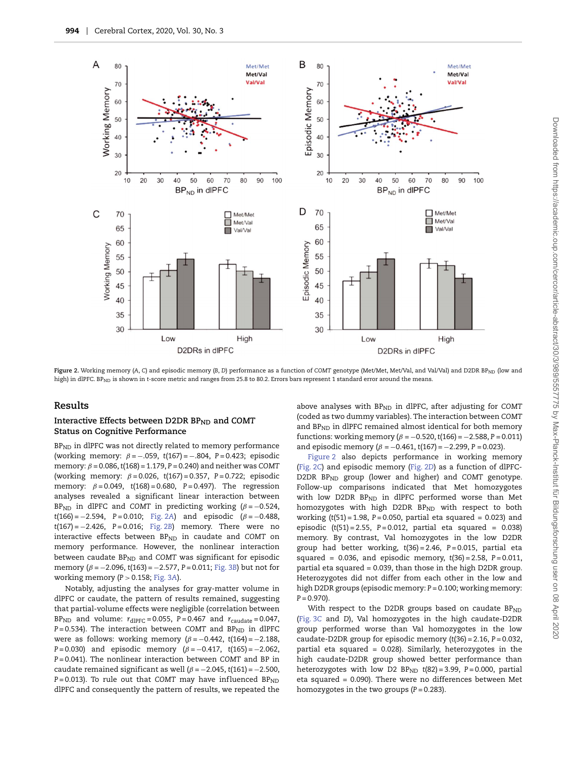

<span id="page-5-0"></span>Figure 2. Working memory (A, C) and episodic memory (B, D) performance as a function of COMT genotype (Met/Met, Met/Val, and Val/Val) and D2DR BP<sub>ND</sub> (low and high) in dlPFC. BP<sub>ND</sub> is shown in *t*-score metric and ranges from 25.8 to 80.2. Errors bars represent 1 standard error around the means.

## **Results**

## Interactive Effects between D2DR BP<sub>ND</sub> and COMT **Status on Cognitive Performance**

BP<sub>ND</sub> in dlPFC was not directly related to memory performance (working memory: *β* = −.059, *t*(167) = −.804, *P* = 0.423; episodic memory: *β* = 0.086,*t*(168) = 1.179, *P* = 0.240) and neither was *COMT* (working memory: *β* = 0.026, *t*(167) = 0.357, *P* = 0.722; episodic memory: *β* = 0.049, *t*(168) = 0.680, *P* = 0.497). The regression analyses revealed a significant linear interaction between BP<sub>ND</sub> in dlPFC and *COMT* in predicting working ( $\beta$  = −0.524, *t*(166) = −2.594, *P* = 0.010; [Fig. 2](#page-5-0)*A*) and episodic (*β* = −0.488, *t*(167) = −2.426, *P* = 0.016; [Fig. 2](#page-5-0)*B*) memory. There were no interactive effects between BP<sub>ND</sub> in caudate and COMT on memory performance. However, the nonlinear interaction between caudate BP<sub>ND</sub> and COMT was significant for episodic memory (*β* = −2.096, *t*(163) = −2.577, *P* = 0.011; [Fig. 3](#page-6-0)*B*) but not for working memory (*P >* 0.158; [Fig. 3](#page-6-0)*A*).

Notably, adjusting the analyses for gray-matter volume in dlPFC or caudate, the pattern of results remained, suggesting that partial-volume effects were negligible (correlation between BP<sub>ND</sub> and volume:  $r_{\text{dIPFC}} = 0.055$ ,  $P = 0.467$  and  $r_{\text{caudate}} = 0.047$ , *P* = 0.534). The interaction between *COMT* and *BP<sub>ND</sub>* in dlPFC were as follows: working memory (*β* = −0.442, *t*(164) = −2.188, *P* = 0.030) and episodic memory (*β* = −0.417, *t*(165) = −2.062, *P* = 0.041). The nonlinear interaction between *COMT* and BP in caudate remained significant as well (*β* = −2.045, *t*(161) = −2.500, *P* = 0.013). To rule out that *COMT* may have influenced *BP<sub>ND</sub>* dlPFC and consequently the pattern of results, we repeated the above analyses with BP<sub>ND</sub> in dlPFC, after adjusting for COMT (coded as two dummy variables). The interaction between *COMT* and  $BP<sub>ND</sub>$  in dlPFC remained almost identical for both memory functions: working memory  $(\beta = -0.520, t(166) = -2.588, P = 0.011)$ and episodic memory (*β* = −0.461, *t*(167) = −2.299, *P* = 0.023).

[Figure 2](#page-5-0) also depicts performance in working memory [\(Fig. 2](#page-5-0)*C*) and episodic memory [\(Fig. 2](#page-5-0)*D*) as a function of dlPFC-D2DR BP<sub>ND</sub> group (lower and higher) and *COMT* genotype. Follow-up comparisons indicated that Met homozygotes with low D2DR BP<sub>ND</sub> in dlPFC performed worse than Met homozygotes with high D2DR BP<sub>ND</sub> with respect to both working (*t*(51) = 1.98, *P* = 0.050, partial eta squared *=* 0.023) and episodic (*t*(51) = 2.55, *P* = 0.012, partial eta squared *=* 0.038) memory. By contrast, Val homozygotes in the low D2DR group had better working, *t*(36) = 2.46, *P* = 0.015, partial eta squared *=* 0.036, and episodic memory, *t*(36) = 2.58, *P* = 0.011, partial eta squared *=* 0.039, than those in the high D2DR group. Heterozygotes did not differ from each other in the low and high D2DR groups (episodic memory: *P* = 0.100; working memory:  $P = 0.970$ .

With respect to the D2DR groups based on caudate  $BP<sub>ND</sub>$ [\(Fig. 3](#page-6-0)*C* and *D*), Val homozygotes in the high caudate-D2DR group performed worse than Val homozygotes in the low caudate-D2DR group for episodic memory (*t*(36) = 2.16, *P* = 0.032, partial eta squared *=* 0.028). Similarly, heterozygotes in the high caudate-D2DR group showed better performance than heterozygotes with low D2 BP<sub>ND</sub> t(82) = 3.99, P = 0.000, partial eta squared *=* 0.090). There were no differences between Met homozygotes in the two groups (*P* = 0.283).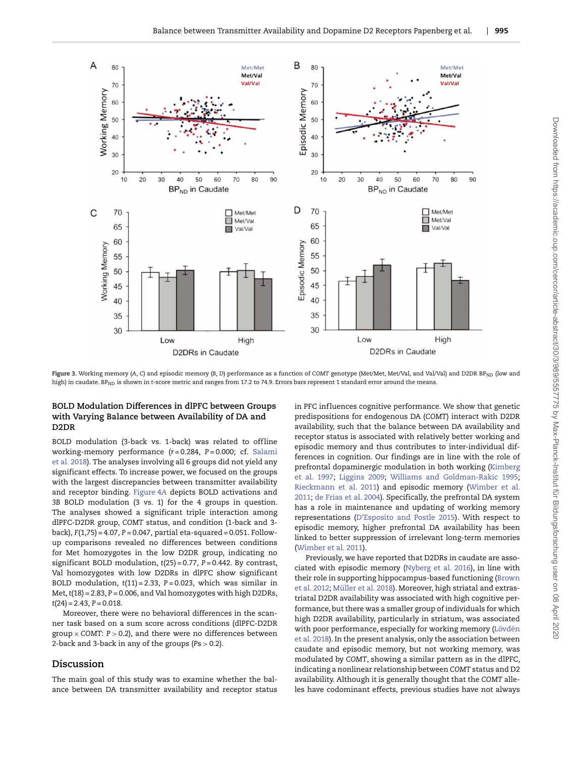

<span id="page-6-0"></span>Figure 3. Working memory (A, C) and episodic memory (B, D) performance as a function of COMT genotype (Met/Met, Met/Val, and Val/Val) and D2DR BP<sub>ND</sub> (low and high) in caudate. BP<sub>ND</sub> is shown in *t*-score metric and ranges from 17.2 to 74.9. Errors bars represent 1 standard error around the means.

# **BOLD Modulation Differences in dlPFC between Groups with Varying Balance between Availability of DA and D2DR**

BOLD modulation (3-back vs. 1-back) was related to offline working-memory performance (*r* = 0.284, *P* = 0.000; cf. Salami [et al. 2018\). The analyses involving all 6 groups did not yield any](#page-10-13) significant effects. To increase power, we focused on the groups with the largest discrepancies between transmitter availability and receptor binding. [Figure 4](#page-7-0)*A* depicts BOLD activations and *3B* BOLD modulation (3 vs. 1) for the 4 groups in question. The analyses showed a significant triple interaction among dlPFC-D2DR group, *COMT* status, and condition (1-back and 3 back), *F*(1,75) = 4.07, *P* = 0.047, partial eta-squared = 0.051. Followup comparisons revealed no differences between conditions for Met homozygotes in the low D2DR group, indicating no significant BOLD modulation, *t*(25) = 0.77, *P* = 0.442. By contrast, Val homozygotes with low D2DRs in dlPFC show significant BOLD modulation, *t*(11) = 2.33, *P* = 0.023, which was similar in Met,*t*(18) = 2.83, *P* = 0.006, and Val homozygotes with high D2DRs, *t*(24) = 2.43, *P* = 0.018.

Moreover, there were no behavioral differences in the scanner task based on a sum score across conditions (dlPFC-D2DR group × *COMT*: *P >* 0.2), and there were no differences between 2-back and 3-back in any of the groups (*P*s *>* 0.2).

# **Discussion**

The main goal of this study was to examine whether the balance between DA transmitter availability and receptor status in PFC influences cognitive performance. We show that genetic predispositions for endogenous DA (*COMT*) interact with D2DR availability, such that the balance between DA availability and receptor status is associated with relatively better working and episodic memory and thus contributes to inter-individual differences in cognition. Our findings are in line with the role of [prefrontal dopaminergic modulation in both working \(Kimberg](#page-10-0) et al. 1997; [Liggins 2009;](#page-10-1) [Williams and Goldman-Rakic 1995;](#page-11-0) [Rieckmann](#page-11-3)[et](#page-11-3)[al.](#page-11-3)[2011\) and episodic memory \(Wimber et al.](#page-11-3) 2011; [de Frias et al. 2004\)](#page-9-4). Specifically, the prefrontal DA system has a role in maintenance and updating of working memory representations [\(D'Esposito and Postle 2015\)](#page-9-1). With respect to episodic memory, higher prefrontal DA availability has been linked to better suppression of irrelevant long-term memories [\(Wimber et al. 2011\)](#page-11-3).

Previously, we have reported that D2DRs in caudate are associated with episodic memory [\(Nyberg et al. 2016\)](#page-10-10), in line with [their role in supporting hippocampus-based functioning \(Brown](#page-9-23) et al. 2012; [Müller et al. 2018\)](#page-10-22). Moreover, high striatal and extrastriatal D2DR availability was associated with high cognitive performance, but there was a smaller group of individuals for which high D2DR availability, particularly in striatum, was associated [with poor performance, especially for working memory \(Lövdén](#page-10-6) et al. 2018). In the present analysis, only the association between caudate and episodic memory, but not working memory, was modulated by *COMT*, showing a similar pattern as in the dlPFC, indicating a nonlinear relationship between *COMT* status and D2 availability. Although it is generally thought that the *COMT* alleles have codominant effects, previous studies have not always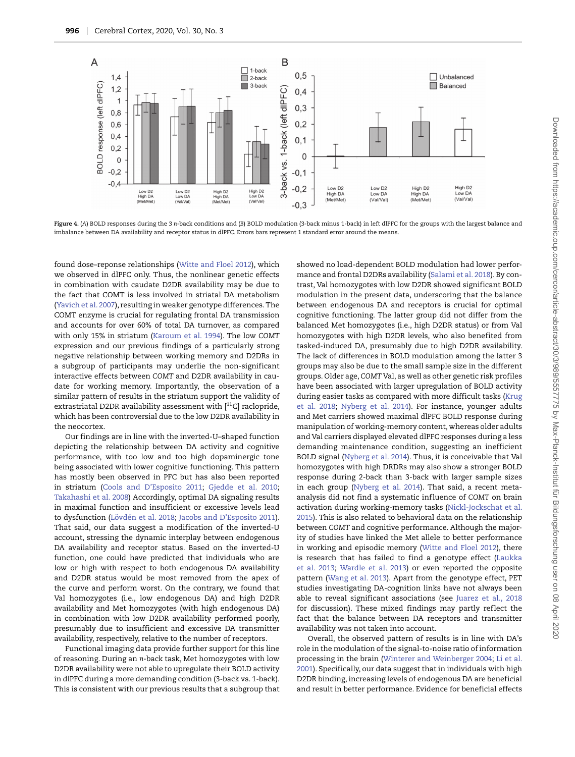

<span id="page-7-0"></span>**Figure 4.** (*A*) BOLD responses during the 3 *n*-back conditions and (*B*) BOLD modulation (3-back minus 1-back) in left dlPFC for the groups with the largest balance and imbalance between DA availability and receptor status in dlPFC. Errors bars represent 1 standard error around the means.

found dose–reponse relationships [\(Witte and Floel 2012\)](#page-11-2), which we observed in dlPFC only. Thus, the nonlinear genetic effects in combination with caudate D2DR availability may be due to the fact that COMT is less involved in striatal DA metabolism [\(Yavich et al. 2007\)](#page-11-5), resulting in weaker genotype differences. The COMT enzyme is crucial for regulating frontal DA transmission and accounts for over 60% of total DA turnover, as compared with only 15% in striatum [\(Karoum et al. 1994\)](#page-9-24). The low *COMT* expression and our previous findings of a particularly strong negative relationship between working memory and D2DRs in a subgroup of participants may underlie the non-significant interactive effects between *COMT* and D2DR availability in caudate for working memory. Importantly, the observation of a similar pattern of results in the striatum support the validity of extrastriatal D2DR availability assessment with [<sup>11</sup>C] raclopride, which has been controversial due to the low D2DR availability in the neocortex.

Our findings are in line with the inverted-U–shaped function depicting the relationship between DA activity and cognitive performance, with too low and too high dopaminergic tone being associated with lower cognitive functioning. This pattern has mostly been observed in PFC but has also been reported in striatum [\(Cools and D'Esposito 2011;](#page-9-5) [Gjedde et al. 2010;](#page-9-25) [Takahashi et al. 2008\)](#page-10-23) Accordingly, optimal DA signaling results in maximal function and insufficient or excessive levels lead to dysfunction [\(Lövdén et al. 2018;](#page-10-6) [Jacobs and D'Esposito 2011\)](#page-9-13). That said, our data suggest a modification of the inverted-U account, stressing the dynamic interplay between endogenous DA availability and receptor status. Based on the inverted-U function, one could have predicted that individuals who are low or high with respect to both endogenous DA availability and D2DR status would be most removed from the apex of the curve and perform worst. On the contrary, we found that Val homozygotes (i.e., low endogenous DA) and high D2DR availability and Met homozygotes (with high endogenous DA) in combination with low D2DR availability performed poorly, presumably due to insufficient and excessive DA transmitter availability, respectively, relative to the number of receptors.

Functional imaging data provide further support for this line of reasoning. During an *n*-back task, Met homozygotes with low D2DR availability were not able to upregulate their BOLD activity in dlPFC during a more demanding condition (3-back vs. 1-back). This is consistent with our previous results that a subgroup that showed no load-dependent BOLD modulation had lower performance and frontal D2DRs availability [\(Salami et al. 2018\)](#page-10-13). By contrast, Val homozygotes with low D2DR showed significant BOLD modulation in the present data, underscoring that the balance between endogenous DA and receptors is crucial for optimal cognitive functioning. The latter group did not differ from the balanced Met homozygotes (i.e., high D2DR status) or from Val homozygotes with high D2DR levels, who also benefited from tasked-induced DA, presumably due to high D2DR availability. The lack of differences in BOLD modulation among the latter 3 groups may also be due to the small sample size in the different groups. Older age, *COMT* Val, as well as other genetic risk profiles have been associated with larger upregulation of BOLD activity [during easier tasks as compared with more difficult tasks \(Krug](#page-10-24) et al. 2018; [Nyberg et al. 2014\)](#page-10-16). For instance, younger adults and Met carriers showed maximal dlPFC BOLD response during manipulation of working-memory content, whereas older adults and Val carriers displayed elevated dlPFC responses during a less demanding maintenance condition, suggesting an inefficient BOLD signal [\(Nyberg et al. 2014\)](#page-10-16). Thus, it is conceivable that Val homozygotes with high DRDRs may also show a stronger BOLD response during 2-back than 3-back with larger sample sizes in each group [\(Nyberg et al. 2014\)](#page-10-16). That said, a recent metaanalysis did not find a systematic inf luence of *COMT* on brain [activation during working-memory tasks \(Nickl-Jockschat et al.](#page-10-25) 2015). This is also related to behavioral data on the relationship between *COMT* and cognitive performance. Although the majority of studies have linked the Met allele to better performance in working and episodic memory [\(Witte and Floel 2012\)](#page-11-2), there [is research that has failed to find a genotype effect \(Laukka](#page-10-26) et al. 2013; [Wardle et al. 2013\)](#page-11-6) or even reported the opposite pattern [\(Wang et al. 2013\)](#page-11-7). Apart from the genotype effect, PET studies investigating DA-cognition links have not always been able to reveal significant associations (see [Juarez et al., 2018](#page-9-26) for discussion). These mixed findings may partly reflect the fact that the balance between DA receptors and transmitter availability was not taken into account.

Overall, the observed pattern of results is in line with DA's role in the modulation of the signal-to-noise ratio of information processing in the brain [\(Winterer and Weinberger 2004;](#page-11-8) Li et al. [2001\). Specifically, our data suggest that in individuals with high](#page-10-27) D2DR binding, increasing levels of endogenous DA are beneficial and result in better performance. Evidence for beneficial effects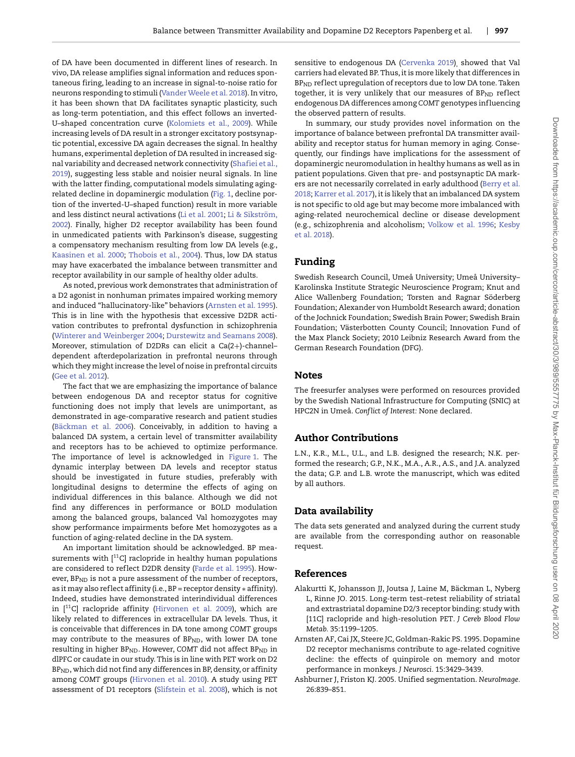of DA have been documented in different lines of research. In vivo, DA release amplifies signal information and reduces spontaneous firing, leading to an increase in signal-to-noise ratio for neurons responding to stimuli [\(Vander Weele et al. 2018\)](#page-10-28). In vitro, it has been shown that DA facilitates synaptic plasticity, such as long-term potentiation, and this effect follows an inverted-U–shaped concentration curve [\(Kolomiets et al., 2009\)](#page-9-27). While increasing levels of DA result in a stronger excitatory postsynaptic potential, excessive DA again decreases the signal. In healthy humans, experimental depletion of DA resulted in increased sig[nal variability and decreased network connectivity \(Shafiei et al.,](#page-10-29) 2019), suggesting less stable and noisier neural signals. In line with the latter finding, computational models simulating agingrelated decline in dopaminergic modulation [\(Fig. 1,](#page-1-0) decline portion of the inverted-U–shaped function) result in more variable and less distinct neural activations [\(Li et al. 2001;](#page-10-27) Li & Sikström, [2002\). Finally, higher D2 receptor availability has been found](#page-10-30) in unmedicated patients with Parkinson's disease, suggesting a compensatory mechanism resulting from low DA levels (e.g., [Kaasinen et al. 2000;](#page-9-28) [Thobois et al., 2004\)](#page-10-31). Thus, low DA status may have exacerbated the imbalance between transmitter and receptor availability in our sample of healthy older adults.

As noted, previous work demonstrates that administration of a D2 agonist in nonhuman primates impaired working memory and induced "hallucinatory-like" behaviors [\(Arnsten et al. 1995\)](#page-8-0). This is in line with the hypothesis that excessive D2DR activation contributes to prefrontal dysfunction in schizophrenia [\(Winterer and Weinberger 2004;](#page-11-8) [Durstewitz and Seamans 2008\)](#page-9-3). Moreover, stimulation of D2DRs can elicit a Ca(2+)-channel– dependent afterdepolarization in prefrontal neurons through which they might increase the level of noise in prefrontal circuits [\(Gee et al. 2012\)](#page-9-6).

The fact that we are emphasizing the importance of balance between endogenous DA and receptor status for cognitive functioning does not imply that levels are unimportant, as demonstrated in age-comparative research and patient studies [\(Bäckman et al. 2006\)](#page-9-20). Conceivably, in addition to having a balanced DA system, a certain level of transmitter availability and receptors has to be achieved to optimize performance. The importance of level is acknowledged in [Figure 1.](#page-1-0) The dynamic interplay between DA levels and receptor status should be investigated in future studies, preferably with longitudinal designs to determine the effects of aging on individual differences in this balance. Although we did not find any differences in performance or BOLD modulation among the balanced groups, balanced Val homozygotes may show performance impairments before Met homozygotes as a function of aging-related decline in the DA system.

An important limitation should be acknowledged. BP measurements with [<sup>11</sup>C] raclopride in healthy human populations are considered to reflect D2DR density [\(Farde et al. 1995\)](#page-9-29). However,  $BP<sub>ND</sub>$  is not a pure assessment of the number of receptors, as it may also ref lect affinity (i.e., BP = receptor density ∗ affinity). Indeed, studies have demonstrated interindividual differences in  $[11C]$  raclopride affinity [\(Hirvonen et al. 2009\)](#page-9-30), which are likely related to differences in extracellular DA levels. Thus, it is conceivable that differences in DA tone among *COMT* groups may contribute to the measures of  $BP<sub>ND</sub>$ , with lower DA tone resulting in higher BP<sub>ND</sub>. However, COMT did not affect BP<sub>ND</sub> in dlPFC or caudate in our study. This is in line with PET work on D2 BPND, which did not find any differences in BP, density, or affinity among *COMT* groups [\(Hirvonen et al. 2010\)](#page-9-9). A study using PET assessment of D1 receptors [\(Slifstein et al. 2008\)](#page-10-32), which is not sensitive to endogenous DA [\(Cervenka 2019\)](#page-9-31), showed that Val carriers had elevated BP. Thus, it is more likely that differences in BP<sub>ND</sub> reflect upregulation of receptors due to low DA tone. Taken together, it is very unlikely that our measures of BPND reflect endogenous DA differences among *COMT* genotypes inf luencing the observed pattern of results.

In summary, our study provides novel information on the importance of balance between prefrontal DA transmitter availability and receptor status for human memory in aging. Consequently, our findings have implications for the assessment of dopaminergic neuromodulation in healthy humans as well as in patient populations. Given that pre- and postsynaptic DA mark[ers are not necessarily correlated in early adulthood \(Berry et al.](#page-9-7) 2018; [Karrer et al. 2017\)](#page-9-32), it is likely that an imbalanced DA system is not specific to old age but may become more imbalanced with aging-related neurochemical decline or disease development [\(e.g., schizophrenia and alcoholism;](#page-9-33) [Volkow et al. 1996;](#page-11-9) Kesby et al. 2018).

# **Funding**

Swedish Research Council, Umeå University; Umeå University– Karolinska Institute Strategic Neuroscience Program; Knut and Alice Wallenberg Foundation; Torsten and Ragnar Söderberg Foundation; Alexander von Humboldt Research award; donation of the Jochnick Foundation; Swedish Brain Power; Swedish Brain Foundation; Västerbotten County Council; Innovation Fund of the Max Planck Society; 2010 Leibniz Research Award from the German Research Foundation (DFG).

# **Notes**

The freesurfer analyses were performed on resources provided by the Swedish National Infrastructure for Computing (SNIC) at HPC2N in Umeå. *Conflict of Interest:* None declared.

# **Author Contributions**

L.N., K.R., M.L., U.L., and L.B. designed the research; N.K. performed the research; G.P., N.K., M.A., A.R., A.S., and J.A. analyzed the data; G.P. and L.B. wrote the manuscript, which was edited by all authors.

# **Data availability**

The data sets generated and analyzed during the current study are available from the corresponding author on reasonable request.

# **References**

- <span id="page-8-1"></span>Alakurtti K, Johansson JJ, Joutsa J, Laine M, Bäckman L, Nyberg L, Rinne JO. 2015. Long-term test–retest reliability of striatal and extrastriatal dopamine D2/3 receptor binding: study with [11C] raclopride and high-resolution PET. *J Cereb Blood Flow Metab.* 35:1199–1205.
- <span id="page-8-0"></span>Arnsten AF, Cai JX, Steere JC, Goldman-Rakic PS. 1995. Dopamine D2 receptor mechanisms contribute to age-related cognitive decline: the effects of quinpirole on memory and motor performance in monkeys. *J Neurosci.* 15:3429–3439.
- <span id="page-8-2"></span>Ashburner J, Friston KJ. 2005. Unified segmentation. *NeuroImage.* 26:839–851.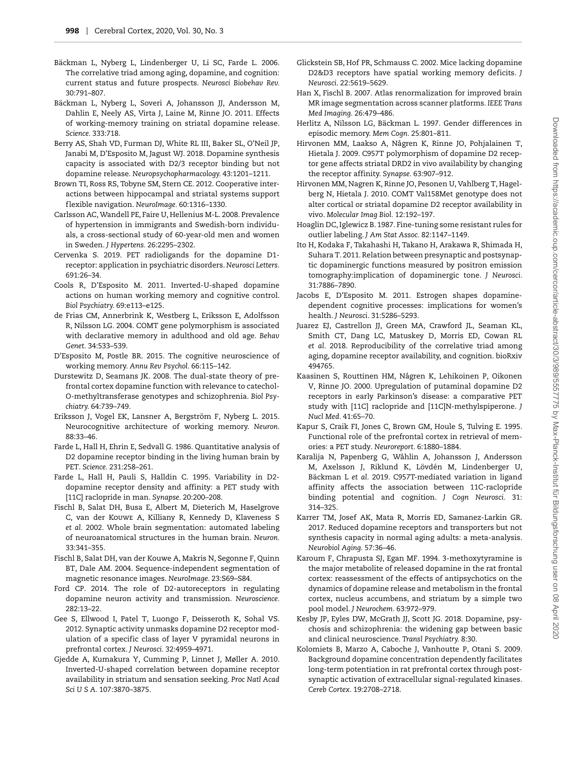- <span id="page-9-20"></span>Bäckman L, Nyberg L, Lindenberger U, Li SC, Farde L. 2006. The correlative triad among aging, dopamine, and cognition: current status and future prospects. *Neurosci Biobehav Rev.* 30:791–807.
- <span id="page-9-2"></span>Bäckman L, Nyberg L, Soveri A, Johansson JJ, Andersson M, Dahlin E, Neely AS, Virta J, Laine M, Rinne JO. 2011. Effects of working-memory training on striatal dopamine release. *Science.* 333:718.
- <span id="page-9-7"></span>Berry AS, Shah VD, Furman DJ, White RL III, Baker SL, O'Neil JP, Janabi M, D'Esposito M, Jagust WJ. 2018. Dopamine synthesis capacity is associated with D2/3 receptor binding but not dopamine release. *Neuropsychopharmacology.* 43:1201–1211.
- <span id="page-9-23"></span>Brown TI, Ross RS, Tobyne SM, Stern CE. 2012. Cooperative interactions between hippocampal and striatal systems support f lexible navigation. *NeuroImage.* 60:1316–1330.
- <span id="page-9-14"></span>Carlsson AC,Wandell PE, Faire U, Hellenius M-L. 2008. Prevalence of hypertension in immigrants and Swedish-born individuals, a cross-sectional study of 60-year-old men and women in Sweden. *J Hypertens.* 26:2295–2302.
- <span id="page-9-31"></span>Cervenka S. 2019. PET radioligands for the dopamine D1 receptor: application in psychiatric disorders. *Neurosci Letters.* 691:26–34.
- <span id="page-9-5"></span>Cools R, D'Esposito M. 2011. Inverted-U-shaped dopamine actions on human working memory and cognitive control. *Biol Psychiatry.* 69:e113–e125.
- <span id="page-9-4"></span>de Frias CM, Annerbrink K, Westberg L, Eriksson E, Adolfsson R, Nilsson LG. 2004. COMT gene polymorphism is associated with declarative memory in adulthood and old age. *Behav Genet.* 34:533–539.
- <span id="page-9-1"></span>D'Esposito M, Postle BR. 2015. The cognitive neuroscience of working memory. *Annu Rev Psychol.* 66:115–142.
- <span id="page-9-3"></span>Durstewitz D, Seamans JK. 2008. The dual-state theory of prefrontal cortex dopamine function with relevance to catechol-O-methyltransferase genotypes and schizophrenia. *Biol Psychiatry.* 64:739–749.
- <span id="page-9-11"></span>Eriksson J, Vogel EK, Lansner A, Bergström F, Nyberg L. 2015. Neurocognitive architecture of working memory. *Neuron.* 88:33–46.
- <span id="page-9-18"></span>Farde L, Hall H, Ehrin E, Sedvall G. 1986. Quantitative analysis of D2 dopamine receptor binding in the living human brain by PET. *Science.* 231:258–261.
- <span id="page-9-29"></span>Farde L, Hall H, Pauli S, Halldin C. 1995. Variability in D2 dopamine receptor density and affinity: a PET study with [11C] raclopride in man. *Synapse.* 20:200–208.
- <span id="page-9-15"></span>Fischl B, Salat DH, Busa E, Albert M, Dieterich M, Haselgrove C, van der Kouwe A, Killiany R, Kennedy D, Klaveness S *et al.* 2002. Whole brain segmentation: automated labeling of neuroanatomical structures in the human brain. *Neuron.* 33:341–355.
- <span id="page-9-16"></span>Fischl B, Salat DH, van der Kouwe A, Makris N, Segonne F, Quinn BT, Dale AM. 2004. Sequence-independent segmentation of magnetic resonance images. *NeuroImage.* 23:S69–S84.
- <span id="page-9-10"></span>Ford CP. 2014. The role of D2-autoreceptors in regulating dopamine neuron activity and transmission. *Neuroscience.* 282:13–22.
- <span id="page-9-6"></span>Gee S, Ellwood I, Patel T, Luongo F, Deisseroth K, Sohal VS. 2012. Synaptic activity unmasks dopamine D2 receptor modulation of a specific class of layer V pyramidal neurons in prefrontal cortex. *J Neurosci.* 32:4959–4971.
- <span id="page-9-25"></span>Gjedde A, Kumakura Y, Cumming P, Linnet J, Møller A. 2010. Inverted-U-shaped correlation between dopamine receptor availability in striatum and sensation seeking. *Proc Natl Acad Sci U S A.* 107:3870–3875.
- <span id="page-9-0"></span>Glickstein SB, Hof PR, Schmauss C. 2002. Mice lacking dopamine D2&D3 receptors have spatial working memory deficits. *J Neurosci*. 22:5619–5629.
- <span id="page-9-17"></span>Han X, Fischl B. 2007. Atlas renormalization for improved brain MR image segmentation across scanner platforms. *IEEE Trans Med Imaging.* 26:479–486.
- <span id="page-9-19"></span>Herlitz A, Nilsson LG, Bäckman L. 1997. Gender differences in episodic memory. *Mem Cogn.* 25:801–811.
- <span id="page-9-30"></span>Hirvonen MM, Laakso A, Någren K, Rinne JO, Pohjalainen T, Hietala J. 2009. C957T polymorphism of dopamine D2 receptor gene affects striatal DRD2 in vivo availability by changing the receptor affinity. *Synapse.* 63:907–912.
- <span id="page-9-9"></span>Hirvonen MM, Nagren K, Rinne JO, Pesonen U, Vahlberg T, Hagelberg N, Hietala J. 2010. COMT Val158Met genotype does not alter cortical or striatal dopamine D2 receptor availability in vivo. *Molecular Imag Biol.* 12:192–197.
- <span id="page-9-22"></span>Hoaglin DC, Iglewicz B. 1987. Fine-tuning some resistant rules for outlier labeling. *J Am Stat Assoc.* 82:1147–1149.
- <span id="page-9-8"></span>Ito H, Kodaka F, Takahashi H, Takano H, Arakawa R, Shimada H, Suhara T. 2011. Relation between presynaptic and postsynaptic dopaminergic functions measured by positron emission tomography:implication of dopaminergic tone. *J Neurosci.* 31:7886–7890.
- <span id="page-9-13"></span>Jacobs E, D'Esposito M. 2011. Estrogen shapes dopaminedependent cognitive processes: implications for women's health. *J Neurosci*. 31:5286–5293.
- <span id="page-9-26"></span>Juarez EJ, Castrellon JJ, Green MA, Crawford JL, Seaman KL, Smith CT, Dang LC, Matuskey D, Morris ED, Cowan RL *et al.* 2018. Reproducibility of the correlative triad among aging, dopamine receptor availability, and cognition. bioRxiv 494765.
- <span id="page-9-28"></span>Kaasinen S, Routtinen HM, Någren K, Lehikoinen P, Oikonen V, Rinne JO. 2000. Upregulation of putaminal dopamine D2 receptors in early Parkinson's disease: a comparative PET study with [11C] raclopride and [11C]N-methylspiperone. *J Nucl Med.* 41:65–70.
- <span id="page-9-12"></span>Kapur S, Craik FI, Jones C, Brown GM, Houle S, Tulving E. 1995. Functional role of the prefrontal cortex in retrieval of memories: a PET study. *Neuroreport.* 6:1880–1884.
- <span id="page-9-21"></span>Karalija N, Papenberg G, Wåhlin A, Johansson J, Andersson M, Axelsson J, Riklund K, Lövdén M, Lindenberger U, Bäckman L *et al.* 2019. C957T-mediated variation in ligand affinity affects the association between 11C-raclopride binding potential and cognition. *J Cogn Neurosci.* 31: 314–325.
- <span id="page-9-32"></span>Karrer TM, Josef AK, Mata R, Morris ED, Samanez-Larkin GR. 2017. Reduced dopamine receptors and transporters but not synthesis capacity in normal aging adults: a meta-analysis. *Neurobiol Aging.* 57:36–46.
- <span id="page-9-24"></span>Karoum F, Chrapusta SJ, Egan MF. 1994. 3-methoxytyramine is the major metabolite of released dopamine in the rat frontal cortex: reassessment of the effects of antipsychotics on the dynamics of dopamine release and metabolism in the frontal cortex, nucleus accumbens, and striatum by a simple two pool model. *J Neurochem.* 63:972–979.
- <span id="page-9-33"></span>Kesby JP, Eyles DW, McGrath JJ, Scott JG. 2018. Dopamine, psychosis and schizophrenia: the widening gap between basic and clinical neuroscience. *Transl Psychiatry.* 8:30.
- <span id="page-9-27"></span>Kolomiets B, Marzo A, Caboche J, Vanhoutte P, Otani S. 2009. Background dopamine concentration dependently facilitates long-term potentiation in rat prefrontal cortex through postsynaptic activation of extracellular signal-regulated kinases. *Cereb Cortex.* 19:2708–2718.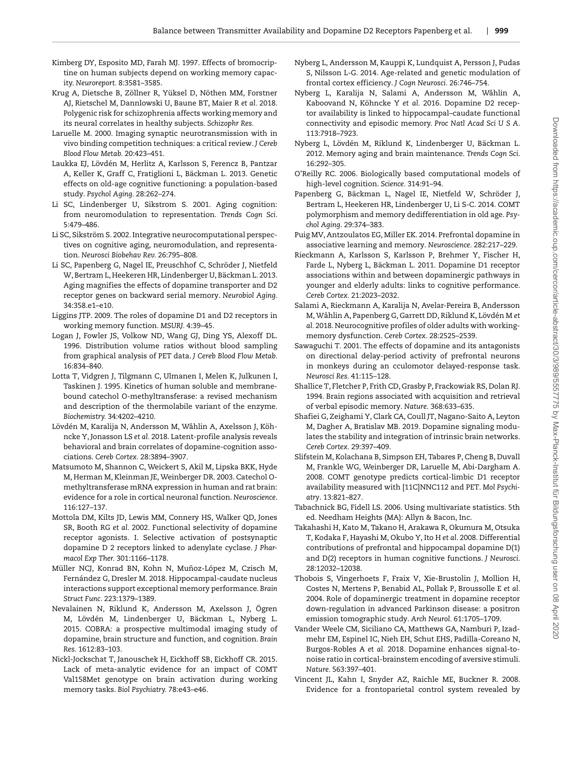- <span id="page-10-0"></span>Kimberg DY, Esposito MD, Farah MJ. 1997. Effects of bromocriptine on human subjects depend on working memory capacity. *Neuroreport.* 8:3581–3585.
- <span id="page-10-24"></span>Krug A, Dietsche B, Zöllner R, Yüksel D, Nöthen MM, Forstner AJ, Rietschel M, Dannlowski U, Baune BT, Maier R *et al.* 2018. Polygenic risk for schizophrenia affects working memory and its neural correlates in healthy subjects. *Schizophr Res.*
- <span id="page-10-7"></span>Laruelle M. 2000. Imaging synaptic neurotransmission with in vivo binding competition techniques: a critical review. *J Cereb Blood Flow Metab.* 20:423–451.
- <span id="page-10-26"></span>Laukka EJ, Lövdén M, Herlitz A, Karlsson S, Ferencz B, Pantzar A, Keller K, Graff C, Fratiglioni L, Bäckman L. 2013. Genetic effects on old-age cognitive functioning: a population-based study. *Psychol Aging.* 28:262–274.
- <span id="page-10-27"></span>Li SC, Lindenberger U, Sikstrom S. 2001. Aging cognition: from neuromodulation to representation. *Trends Cogn Sci.* 5:479–486.
- <span id="page-10-30"></span>Li SC, Sikström S. 2002. Integrative neurocomputational perspectives on cognitive aging, neuromodulation, and representation. *Neurosci Biobehav Rev.* 26:795–808.
- <span id="page-10-19"></span>Li SC, Papenberg G, Nagel IE, Preuschhof C, Schröder J, Nietfeld W, Bertram L, Heekeren HR, Lindenberger U, Bäckman L. 2013. Aging magnifies the effects of dopamine transporter and D2 receptor genes on backward serial memory. *Neurobiol Aging.* 34:358.e1–e10.
- <span id="page-10-1"></span>Liggins JTP. 2009. The roles of dopamine D1 and D2 receptors in working memory function. *MSURJ.* 4:39–45.
- <span id="page-10-14"></span>Logan J, Fowler JS, Volkow ND, Wang GJ, Ding YS, Alexoff DL. 1996. Distribution volume ratios without blood sampling from graphical analysis of PET data. *J Cereb Blood Flow Metab.* 16:834–840.
- <span id="page-10-5"></span>Lotta T, Vidgren J, Tilgmann C, Ulmanen I, Melen K, Julkunen I, Taskinen J. 1995. Kinetics of human soluble and membranebound catechol O-methyltransferase: a revised mechanism and description of the thermolabile variant of the enzyme. *Biochemistry.* 34:4202–4210.
- <span id="page-10-6"></span>Lövdén M, Karalija N, Andersson M, Wåhlin A, Axelsson J, Köhncke Y, Jonasson LS *et al.* 2018. Latent-profile analysis reveals behavioral and brain correlates of dopamine-cognition associations. *Cereb Cortex.* 28:3894–3907.
- <span id="page-10-11"></span>Matsumoto M, Shannon C, Weickert S, Akil M, Lipska BKK, Hyde M, Herman M, Kleinman JE, Weinberger DR. 2003. Catechol Omethyltransferase mRNA expression in human and rat brain: evidence for a role in cortical neuronal function. *Neuroscience*. 116:127–137.
- <span id="page-10-8"></span>Mottola DM, Kilts JD, Lewis MM, Connery HS, Walker QD, Jones SR, Booth RG *et al.* 2002. Functional selectivity of dopamine receptor agonists. I. Selective activation of postsynaptic dopamine D 2 receptors linked to adenylate cyclase. *J Pharmacol Exp Ther.* 301:1166–1178.
- <span id="page-10-22"></span>Müller NCJ, Konrad BN, Kohn N, Muñoz-López M, Czisch M, Fernández G, Dresler M. 2018. Hippocampal-caudate nucleus interactions support exceptional memory performance. *Brain Struct Func.* 223:1379–1389.
- <span id="page-10-12"></span>Nevalainen N, Riklund K, Andersson M, Axelsson J, Ögren M, Lövdén M, Lindenberger U, Bäckman L, Nyberg L. 2015. COBRA: a prospective multimodal imaging study of dopamine, brain structure and function, and cognition. *Brain Res.* 1612:83–103.
- <span id="page-10-25"></span>Nickl-Jockschat T, Janouschek H, Eickhoff SB, Eickhoff CR. 2015. Lack of meta-analytic evidence for an impact of COMT Val158Met genotype on brain activation during working memory tasks. *Biol Psychiatry.* 78:e43–e46.
- <span id="page-10-16"></span>Nyberg L, Andersson M, Kauppi K, Lundquist A, Persson J, Pudas S, Nilsson L-G. 2014. Age-related and genetic modulation of frontal cortex efficiency. *J Cogn Neurosci.* 26:746–754.
- <span id="page-10-10"></span>Nyberg L, Karalija N, Salami A, Andersson M, Wåhlin A, Kaboovand N, Köhncke Y *et al.* 2016. Dopamine D2 receptor availability is linked to hippocampal–caudate functional connectivity and episodic memory. *Proc Natl Acad Sci U S A*. 113:7918–7923.
- <span id="page-10-18"></span>Nyberg L, Lövdén M, Riklund K, Lindenberger U, Bäckman L. 2012. Memory aging and brain maintenance. *Trends Cogn Sci*. 16:292–305.
- <span id="page-10-3"></span>O'Reilly RC. 2006. Biologically based computational models of high-level cognition. *Science.* 314:91–94.
- <span id="page-10-17"></span>Papenberg G, Bäckman L, Nagel IE, Nietfeld W, Schröder J, Bertram L, Heekeren HR, Lindenberger U, Li S-C. 2014. COMT polymorphism and memory dedifferentiation in old age. *Psychol Aging*. 29:374–383.
- <span id="page-10-4"></span>Puig MV, Antzoulatos EG, Miller EK. 2014. Prefrontal dopamine in associative learning and memory. *Neuroscience.* 282:217–229.
- <span id="page-10-21"></span>Rieckmann A, Karlsson S, Karlsson P, Brehmer Y, Fischer H, Farde L, Nyberg L, Bäckman L. 2011. Dopamine D1 receptor associations within and between dopaminergic pathways in younger and elderly adults: links to cognitive performance. *Cereb Cortex.* 21:2023–2032.
- <span id="page-10-13"></span>Salami A, Rieckmann A, Karalija N, Avelar-Pereira B, Andersson M, Wåhlin A, Papenberg G, Garrett DD, Riklund K, Lövdén M *et al.* 2018. Neurocognitive profiles of older adults with workingmemory dysfunction. *Cereb Cortex.* 28:2525–2539.
- <span id="page-10-2"></span>Sawaguchi T. 2001. The effects of dopamine and its antagonists on directional delay-period activity of prefrontal neurons in monkeys during an cculomotor delayed-response task. *Neurosci Res.* 41:115–128.
- <span id="page-10-9"></span>Shallice T, Fletcher P, Frith CD, Grasby P, Frackowiak RS, Dolan RJ. 1994. Brain regions associated with acquisition and retrieval of verbal episodic memory. *Nature*. 368:633–635.
- <span id="page-10-29"></span>Shafiei G, Zeighami Y, Clark CA, Coull JT, Nagano-Saito A, Leyton M, Dagher A, Bratislav MB. 2019. Dopamine signaling modulates the stability and integration of intrinsic brain networks. *Cereb Cortex.* 29:397–409.
- <span id="page-10-32"></span>Slifstein M, Kolachana B, Simpson EH, Tabares P, Cheng B, Duvall M, Frankle WG, Weinberger DR, Laruelle M, Abi-Dargham A. 2008. COMT genotype predicts cortical-limbic D1 receptor availability measured with [11C]NNC112 and PET. *Mol Psychiatry*. 13:821–827.
- <span id="page-10-20"></span>Tabachnick BG, Fidell LS. 2006. Using multivariate statistics. 5th ed. Needham Heights (MA): Allyn & Bacon, Inc.
- <span id="page-10-23"></span>Takahashi H, Kato M, Takano H, Arakawa R, Okumura M, Otsuka T, Kodaka F, Hayashi M, Okubo Y, Ito H *et al.* 2008. Differential contributions of prefrontal and hippocampal dopamine D(1) and D(2) receptors in human cognitive functions. *J Neurosci*. 28:12032–12038.
- <span id="page-10-31"></span>Thobois S, Vingerhoets F, Fraix V, Xie-Brustolin J, Mollion H, Costes N, Mertens P, Benabid AL, Pollak P, Broussolle E *et al.* 2004. Role of dopaminergic treatment in dopamine receptor down-regulation in advanced Parkinson disease: a positron emission tomographic study. *Arch Neurol.* 61:1705–1709.
- <span id="page-10-28"></span>Vander Weele CM, Siciliano CA, Matthews GA, Namburi P, Izadmehr EM, Espinel IC, Nieh EH, Schut EHS, Padilla-Coreano N, Burgos-Robles A *et al.* 2018. Dopamine enhances signal-tonoise ratio in cortical-brainstem encoding of aversive stimuli. *Nature.* 563:397–401.
- <span id="page-10-15"></span>Vincent JL, Kahn I, Snyder AZ, Raichle ME, Buckner R. 2008. Evidence for a frontoparietal control system revealed by